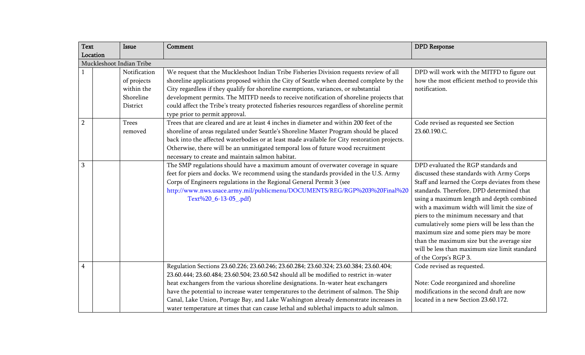| <b>Text</b>              | Issue                                                              | Comment                                                                                                                                                                                                                                                                                                                                                                                                                                                                                                                                           | <b>DPD</b> Response                                                                                                                                                                                                                                                                                                                                                                                                                                                                                                                         |  |  |  |
|--------------------------|--------------------------------------------------------------------|---------------------------------------------------------------------------------------------------------------------------------------------------------------------------------------------------------------------------------------------------------------------------------------------------------------------------------------------------------------------------------------------------------------------------------------------------------------------------------------------------------------------------------------------------|---------------------------------------------------------------------------------------------------------------------------------------------------------------------------------------------------------------------------------------------------------------------------------------------------------------------------------------------------------------------------------------------------------------------------------------------------------------------------------------------------------------------------------------------|--|--|--|
| Location                 |                                                                    |                                                                                                                                                                                                                                                                                                                                                                                                                                                                                                                                                   |                                                                                                                                                                                                                                                                                                                                                                                                                                                                                                                                             |  |  |  |
| Muckleshoot Indian Tribe |                                                                    |                                                                                                                                                                                                                                                                                                                                                                                                                                                                                                                                                   |                                                                                                                                                                                                                                                                                                                                                                                                                                                                                                                                             |  |  |  |
|                          | Notification<br>of projects<br>within the<br>Shoreline<br>District | We request that the Muckleshoot Indian Tribe Fisheries Division requests review of all<br>shoreline applications proposed within the City of Seattle when deemed complete by the<br>City regardless if they qualify for shoreline exemptions, variances, or substantial<br>development permits. The MITFD needs to receive notification of shoreline projects that<br>could affect the Tribe's treaty protected fisheries resources regardless of shoreline permit                                                                                | DPD will work with the MITFD to figure out<br>how the most efficient method to provide this<br>notification.                                                                                                                                                                                                                                                                                                                                                                                                                                |  |  |  |
|                          |                                                                    | type prior to permit approval.                                                                                                                                                                                                                                                                                                                                                                                                                                                                                                                    |                                                                                                                                                                                                                                                                                                                                                                                                                                                                                                                                             |  |  |  |
| $\overline{2}$           | Trees<br>removed                                                   | Trees that are cleared and are at least 4 inches in diameter and within 200 feet of the<br>shoreline of areas regulated under Seattle's Shoreline Master Program should be placed<br>back into the affected waterbodies or at least made available for City restoration projects.<br>Otherwise, there will be an unmitigated temporal loss of future wood recruitment<br>necessary to create and maintain salmon habitat.                                                                                                                         | Code revised as requested see Section<br>23.60.190.C.                                                                                                                                                                                                                                                                                                                                                                                                                                                                                       |  |  |  |
| 3                        |                                                                    | The SMP regulations should have a maximum amount of overwater coverage in square<br>feet for piers and docks. We recommend using the standards provided in the U.S. Army<br>Corps of Engineers regulations in the Regional General Permit 3 (see<br>http://www.nws.usace.army.mil/publicmenu/DOCUMENTS/REG/RGP%203%20Final%20<br>Text%20_6-13-05_.pdf)                                                                                                                                                                                            | DPD evaluated the RGP standards and<br>discussed these standards with Army Corps<br>Staff and learned the Corps deviates from these<br>standards. Therefore, DPD determined that<br>using a maximum length and depth combined<br>with a maximum width will limit the size of<br>piers to the minimum necessary and that<br>cumulatively some piers will be less than the<br>maximum size and some piers may be more<br>than the maximum size but the average size<br>will be less than maximum size limit standard<br>of the Corps's RGP 3. |  |  |  |
| $\overline{\mathbf{4}}$  |                                                                    | Regulation Sections 23.60.226; 23.60.246; 23.60.284; 23.60.324; 23.60.384; 23.60.404;<br>23.60.444; 23.60.484; 23.60.504; 23.60.542 should all be modified to restrict in-water<br>heat exchangers from the various shoreline designations. In-water heat exchangers<br>have the potential to increase water temperatures to the detriment of salmon. The Ship<br>Canal, Lake Union, Portage Bay, and Lake Washington already demonstrate increases in<br>water temperature at times that can cause lethal and sublethal impacts to adult salmon. | Code revised as requested.<br>Note: Code reorganized and shoreline<br>modifications in the second draft are now<br>located in a new Section 23.60.172.                                                                                                                                                                                                                                                                                                                                                                                      |  |  |  |